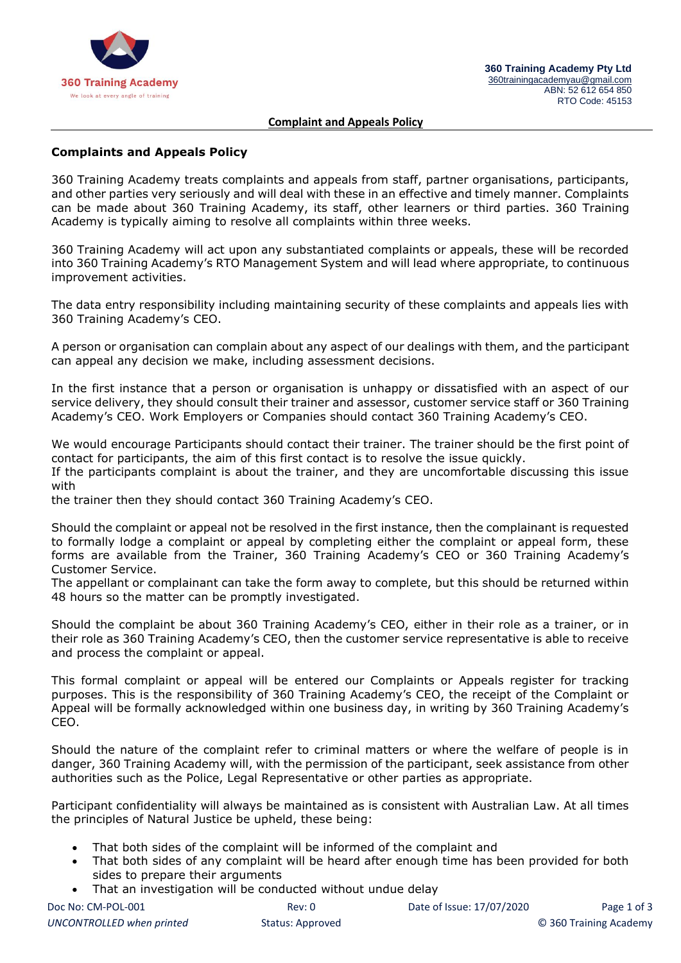

#### **Complaint and Appeals Policy**

### **Complaints and Appeals Policy**

360 Training Academy treats complaints and appeals from staff, partner organisations, participants, and other parties very seriously and will deal with these in an effective and timely manner. Complaints can be made about 360 Training Academy, its staff, other learners or third parties. 360 Training Academy is typically aiming to resolve all complaints within three weeks.

360 Training Academy will act upon any substantiated complaints or appeals, these will be recorded into 360 Training Academy's RTO Management System and will lead where appropriate, to continuous improvement activities.

The data entry responsibility including maintaining security of these complaints and appeals lies with 360 Training Academy's CEO.

A person or organisation can complain about any aspect of our dealings with them, and the participant can appeal any decision we make, including assessment decisions.

In the first instance that a person or organisation is unhappy or dissatisfied with an aspect of our service delivery, they should consult their trainer and assessor, customer service staff or 360 Training Academy's CEO. Work Employers or Companies should contact 360 Training Academy's CEO.

We would encourage Participants should contact their trainer. The trainer should be the first point of contact for participants, the aim of this first contact is to resolve the issue quickly.

If the participants complaint is about the trainer, and they are uncomfortable discussing this issue with

the trainer then they should contact 360 Training Academy's CEO.

Should the complaint or appeal not be resolved in the first instance, then the complainant is requested to formally lodge a complaint or appeal by completing either the complaint or appeal form, these forms are available from the Trainer, 360 Training Academy's CEO or 360 Training Academy's Customer Service.

The appellant or complainant can take the form away to complete, but this should be returned within 48 hours so the matter can be promptly investigated.

Should the complaint be about 360 Training Academy's CEO, either in their role as a trainer, or in their role as 360 Training Academy's CEO, then the customer service representative is able to receive and process the complaint or appeal.

This formal complaint or appeal will be entered our Complaints or Appeals register for tracking purposes. This is the responsibility of 360 Training Academy's CEO, the receipt of the Complaint or Appeal will be formally acknowledged within one business day, in writing by 360 Training Academy's CEO.

Should the nature of the complaint refer to criminal matters or where the welfare of people is in danger, 360 Training Academy will, with the permission of the participant, seek assistance from other authorities such as the Police, Legal Representative or other parties as appropriate.

Participant confidentiality will always be maintained as is consistent with Australian Law. At all times the principles of Natural Justice be upheld, these being:

- That both sides of the complaint will be informed of the complaint and
- That both sides of any complaint will be heard after enough time has been provided for both sides to prepare their arguments
- That an investigation will be conducted without undue delay

| Doc No: CM-POL-001        | Rev: 0           | Date of Issue: 17/07/2020 | Page 1 of 3            |
|---------------------------|------------------|---------------------------|------------------------|
| UNCONTROLLED when printed | Status: Approved |                           | © 360 Training Academy |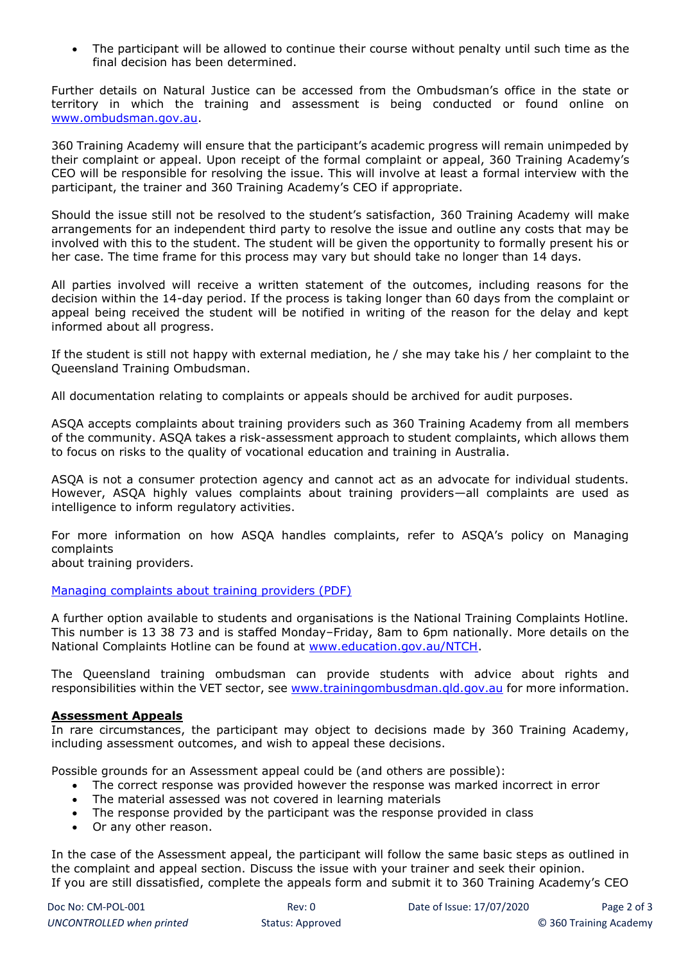• The participant will be allowed to continue their course without penalty until such time as the final decision has been determined.

Further details on Natural Justice can be accessed from the Ombudsman's office in the state or territory in which the training and assessment is being conducted or found online on [www.ombudsman.gov.au.](http://www.ombudsman.gov.au/)

360 Training Academy will ensure that the participant's academic progress will remain unimpeded by their complaint or appeal. Upon receipt of the formal complaint or appeal, 360 Training Academy's CEO will be responsible for resolving the issue. This will involve at least a formal interview with the participant, the trainer and 360 Training Academy's CEO if appropriate.

Should the issue still not be resolved to the student's satisfaction, 360 Training Academy will make arrangements for an independent third party to resolve the issue and outline any costs that may be involved with this to the student. The student will be given the opportunity to formally present his or her case. The time frame for this process may vary but should take no longer than 14 days.

All parties involved will receive a written statement of the outcomes, including reasons for the decision within the 14-day period. If the process is taking longer than 60 days from the complaint or appeal being received the student will be notified in writing of the reason for the delay and kept informed about all progress.

If the student is still not happy with external mediation, he / she may take his / her complaint to the Queensland Training Ombudsman.

All documentation relating to complaints or appeals should be archived for audit purposes.

ASQA accepts complaints about training providers such as 360 Training Academy from all members of the community. ASQA takes a risk-assessment approach to student complaints, which allows them to focus on risks to the quality of vocational education and training in Australia.

ASQA is not a consumer protection agency and cannot act as an advocate for individual students. However, ASQA highly values complaints about training providers—all complaints are used as intelligence to inform regulatory activities.

For more information on how ASQA handles complaints, refer to ASQA's policy on Managing complaints

about training providers.

## [Managing complaints about training providers \(PDF\)](https://www.asqa.gov.au/file/10151/download?token=vsZTCft_)

A further option available to students and organisations is the National Training Complaints Hotline. This number is 13 38 73 and is staffed Monday–Friday, 8am to 6pm nationally. More details on the National Complaints Hotline can be found at [www.education.gov.au/NTCH.](http://www.education.gov.au/NTCH)

The Queensland training ombudsman can provide students with advice about rights and responsibilities within the VET sector, see [www.trainingombusdman.qld.gov.au](http://www.trainingombusdman.qld.gov.au/) for more information.

### **Assessment Appeals**

In rare circumstances, the participant may object to decisions made by 360 Training Academy, including assessment outcomes, and wish to appeal these decisions.

Possible grounds for an Assessment appeal could be (and others are possible):

- The correct response was provided however the response was marked incorrect in error
- The material assessed was not covered in learning materials
- The response provided by the participant was the response provided in class
- Or any other reason.

In the case of the Assessment appeal, the participant will follow the same basic steps as outlined in the complaint and appeal section. Discuss the issue with your trainer and seek their opinion. If you are still dissatisfied, complete the appeals form and submit it to 360 Training Academy's CEO